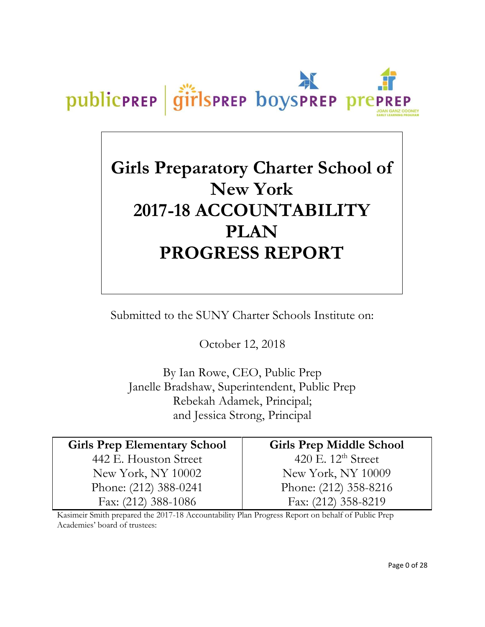

# **Girls Preparatory Charter School of New York 2017-18 ACCOUNTABILITY PLAN PROGRESS REPORT**

Submitted to the SUNY Charter Schools Institute on:

October 12, 2018

By Ian Rowe, CEO, Public Prep Janelle Bradshaw, Superintendent, Public Prep Rebekah Adamek, Principal; and Jessica Strong, Principal

**Girls Prep Elementary School** 442 E. Houston Street New York, NY 10002 Phone: (212) 388-0241 Fax: (212) 388-1086

**Girls Prep Middle School** 420 E. 12<sup>th</sup> Street New York, NY 10009 Phone: (212) 358-8216 Fax: (212) 358-8219

Kasimeir Smith prepared the 2017-18 Accountability Plan Progress Report on behalf of Public Prep Academies' board of trustees: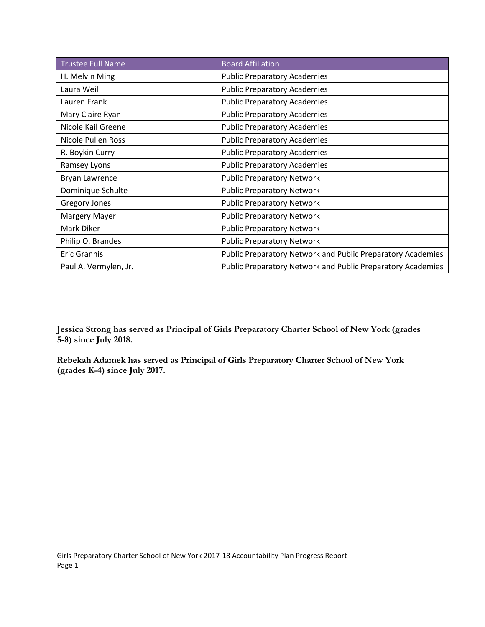| <b>Trustee Full Name</b> | <b>Board Affiliation</b>                                    |
|--------------------------|-------------------------------------------------------------|
| H. Melvin Ming           | <b>Public Preparatory Academies</b>                         |
| Laura Weil               | <b>Public Preparatory Academies</b>                         |
| Lauren Frank             | <b>Public Preparatory Academies</b>                         |
| Mary Claire Ryan         | <b>Public Preparatory Academies</b>                         |
| Nicole Kail Greene       | <b>Public Preparatory Academies</b>                         |
| Nicole Pullen Ross       | <b>Public Preparatory Academies</b>                         |
| R. Boykin Curry          | <b>Public Preparatory Academies</b>                         |
| Ramsey Lyons             | <b>Public Preparatory Academies</b>                         |
| Bryan Lawrence           | <b>Public Preparatory Network</b>                           |
| Dominique Schulte        | <b>Public Preparatory Network</b>                           |
| <b>Gregory Jones</b>     | <b>Public Preparatory Network</b>                           |
| <b>Margery Mayer</b>     | <b>Public Preparatory Network</b>                           |
| Mark Diker               | <b>Public Preparatory Network</b>                           |
| Philip O. Brandes        | <b>Public Preparatory Network</b>                           |
| Eric Grannis             | Public Preparatory Network and Public Preparatory Academies |
| Paul A. Vermylen, Jr.    | Public Preparatory Network and Public Preparatory Academies |

**Jessica Strong has served as Principal of Girls Preparatory Charter School of New York (grades 5-8) since July 2018.**

**Rebekah Adamek has served as Principal of Girls Preparatory Charter School of New York (grades K-4) since July 2017.**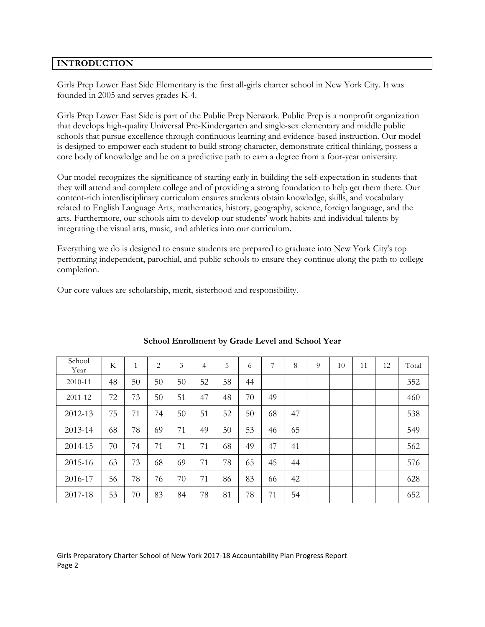# **INTRODUCTION**

Girls Prep Lower East Side Elementary is the first all-girls charter school in New York City. It was founded in 2005 and serves grades K-4.

Girls Prep Lower East Side is part of the Public Prep Network. Public Prep is a nonprofit organization that develops high-quality Universal Pre-Kindergarten and single-sex elementary and middle public schools that pursue excellence through continuous learning and evidence-based instruction. Our model is designed to empower each student to build strong character, demonstrate critical thinking, possess a core body of knowledge and be on a predictive path to earn a degree from a four-year university.

Our model recognizes the significance of starting early in building the self-expectation in students that they will attend and complete college and of providing a strong foundation to help get them there. Our content-rich interdisciplinary curriculum ensures students obtain knowledge, skills, and vocabulary related to English Language Arts, mathematics, history, geography, science, foreign language, and the arts. Furthermore, our schools aim to develop our students' work habits and individual talents by integrating the visual arts, music, and athletics into our curriculum.

Everything we do is designed to ensure students are prepared to graduate into New York City's top performing independent, parochial, and public schools to ensure they continue along the path to college completion.

Our core values are scholarship, merit, sisterhood and responsibility.

| School<br>Year | K  | 1  | $\overline{2}$ | 3  | 4  | 5  | 6  | 7  | 8  | 9 | 10 | 11 | 12 | Total |
|----------------|----|----|----------------|----|----|----|----|----|----|---|----|----|----|-------|
| 2010-11        | 48 | 50 | 50             | 50 | 52 | 58 | 44 |    |    |   |    |    |    | 352   |
| 2011-12        | 72 | 73 | 50             | 51 | 47 | 48 | 70 | 49 |    |   |    |    |    | 460   |
| 2012-13        | 75 | 71 | 74             | 50 | 51 | 52 | 50 | 68 | 47 |   |    |    |    | 538   |
| 2013-14        | 68 | 78 | 69             | 71 | 49 | 50 | 53 | 46 | 65 |   |    |    |    | 549   |
| 2014-15        | 70 | 74 | 71             | 71 | 71 | 68 | 49 | 47 | 41 |   |    |    |    | 562   |
| 2015-16        | 63 | 73 | 68             | 69 | 71 | 78 | 65 | 45 | 44 |   |    |    |    | 576   |
| 2016-17        | 56 | 78 | 76             | 70 | 71 | 86 | 83 | 66 | 42 |   |    |    |    | 628   |
| 2017-18        | 53 | 70 | 83             | 84 | 78 | 81 | 78 | 71 | 54 |   |    |    |    | 652   |

# **School Enrollment by Grade Level and School Year**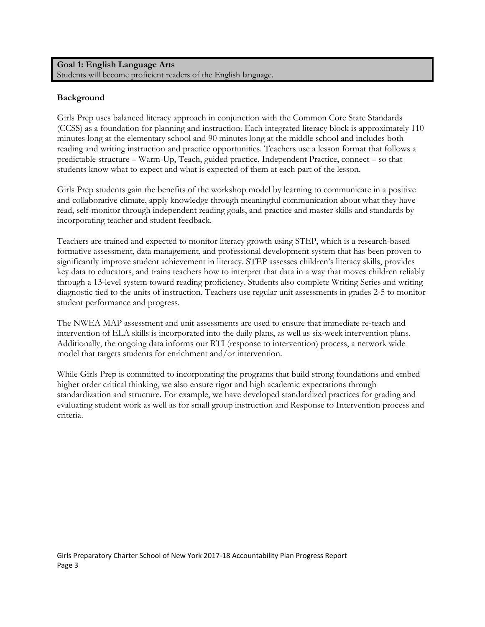**Goal 1: English Language Arts** Students will become proficient readers of the English language.

# **Background**

Girls Prep uses balanced literacy approach in conjunction with the Common Core State Standards (CCSS) as a foundation for planning and instruction. Each integrated literacy block is approximately 110 minutes long at the elementary school and 90 minutes long at the middle school and includes both reading and writing instruction and practice opportunities. Teachers use a lesson format that follows a predictable structure – Warm-Up, Teach, guided practice, Independent Practice, connect – so that students know what to expect and what is expected of them at each part of the lesson.

Girls Prep students gain the benefits of the workshop model by learning to communicate in a positive and collaborative climate, apply knowledge through meaningful communication about what they have read, self-monitor through independent reading goals, and practice and master skills and standards by incorporating teacher and student feedback.

Teachers are trained and expected to monitor literacy growth using STEP, which is a research-based formative assessment, data management, and professional development system that has been proven to significantly improve student achievement in literacy. STEP assesses children's literacy skills, provides key data to educators, and trains teachers how to interpret that data in a way that moves children reliably through a 13-level system toward reading proficiency. Students also complete Writing Series and writing diagnostic tied to the units of instruction. Teachers use regular unit assessments in grades 2-5 to monitor student performance and progress.

The NWEA MAP assessment and unit assessments are used to ensure that immediate re-teach and intervention of ELA skills is incorporated into the daily plans, as well as six-week intervention plans. Additionally, the ongoing data informs our RTI (response to intervention) process, a network wide model that targets students for enrichment and/or intervention.

While Girls Prep is committed to incorporating the programs that build strong foundations and embed higher order critical thinking, we also ensure rigor and high academic expectations through standardization and structure. For example, we have developed standardized practices for grading and evaluating student work as well as for small group instruction and Response to Intervention process and criteria.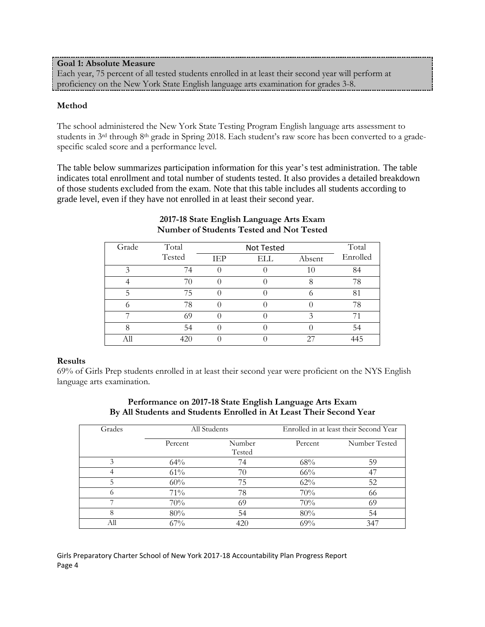**Goal 1: Absolute Measure** Each year, 75 percent of all tested students enrolled in at least their second year will perform at proficiency on the New York State English language arts examination for grades 3-8.

## **Method**

The school administered the New York State Testing Program English language arts assessment to students in 3<sup>rd</sup> through 8<sup>th</sup> grade in Spring 2018. Each student's raw score has been converted to a gradespecific scaled score and a performance level.

The table below summarizes participation information for this year's test administration. The table indicates total enrollment and total number of students tested. It also provides a detailed breakdown of those students excluded from the exam. Note that this table includes all students according to grade level, even if they have not enrolled in at least their second year.

| Grade | Total  |     | Total |        |          |
|-------|--------|-----|-------|--------|----------|
|       | Tested | IEP | ELL   | Absent | Enrolled |
|       | 74     |     |       | 10     | 84       |
|       | 70     |     |       |        | 78       |
|       | 75     |     |       |        | 81       |
|       | 78     |     |       |        | 78       |
|       | 69     |     |       |        |          |
|       | 54     |     |       |        | 54       |
|       | 420    |     |       |        | 445      |

# **2017-18 State English Language Arts Exam Number of Students Tested and Not Tested**

## **Results**

69% of Girls Prep students enrolled in at least their second year were proficient on the NYS English language arts examination.

| Grades   |         | All Students     | Enrolled in at least their Second Year |               |  |  |
|----------|---------|------------------|----------------------------------------|---------------|--|--|
|          | Percent | Number<br>Tested | Percent                                | Number Tested |  |  |
|          | 64%     | 74               | 68%                                    | 59            |  |  |
| 4        | 61%     | 70               | $66\%$                                 | -47           |  |  |
| 5        | 60%     | 75               | 62%                                    | 52            |  |  |
| $\Omega$ | 71%     | 78               | 70%                                    | 66            |  |  |
| ⇁        | 70%     | 69               | 70%                                    | 69            |  |  |
| 8        | 80%     | 54               | 80%                                    | 54            |  |  |
| All      | 67%     | 420              | $69\%$                                 | 347           |  |  |

# **Performance on 2017-18 State English Language Arts Exam By All Students and Students Enrolled in At Least Their Second Year**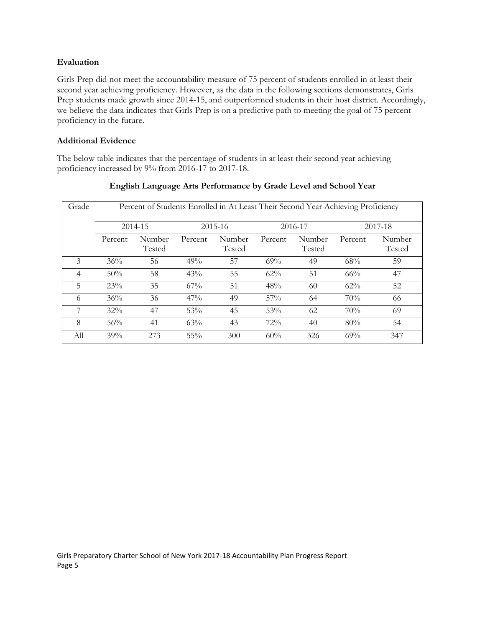## **Evaluation**

Girls Prep did not meet the accountability measure of 75 percent of students enrolled in at least their second year achieving proficiency. However, as the data in the following sections demonstrates, Girls Prep students made growth since 2014-15, and outperformed students in their host district. Accordingly, we believe the data indicates that Girls Prep is on a predictive path to meeting the goal of 75 percent proficiency in the future.

# **Additional Evidence**

The below table indicates that the percentage of students in at least their second year achieving proficiency increased by 9% from 2016-17 to 2017-18.

| Grade          |         | Percent of Students Enrolled in At Least Their Second Year Achieving Proficiency |         |                  |         |                  |         |                  |
|----------------|---------|----------------------------------------------------------------------------------|---------|------------------|---------|------------------|---------|------------------|
|                |         | 2014-15                                                                          |         | $2015 - 16$      |         | 2016-17          |         | 2017-18          |
|                | Percent | Number<br>Tested                                                                 | Percent | Number<br>Tested | Percent | Number<br>Tested | Percent | Number<br>Tested |
| 3              | 36%     | 56                                                                               | 49%     | 57               | 69%     | 49               | 68%     | 59               |
| $\overline{4}$ | 50%     | 58                                                                               | 43%     | 55               | 62%     | 51               | 66%     | 47               |
| 5              | 23%     | 35                                                                               | $67\%$  | 51               | 48%     | 60               | $62\%$  | 52               |
| 6              | 36%     | 36                                                                               | 47%     | 49               | 57%     | 64               | 70%     | 66               |
| 7              | $32\%$  | 47                                                                               | 53%     | 45               | 53%     | 62               | 70%     | 69               |
| 8              | 56%     | 41                                                                               | 63%     | 43               | 72%     | 40               | 80%     | 54               |
| All            | 39%     | 273                                                                              | 55%     | 300              | 60%     | 326              | 69%     | 347              |

# **English Language Arts Performance by Grade Level and School Year**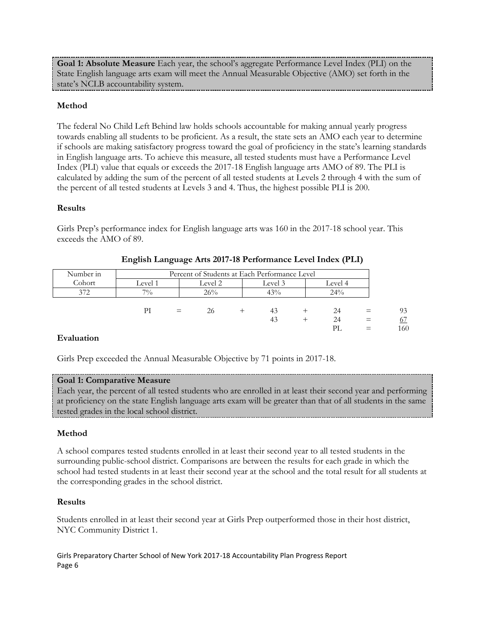**Goal 1: Absolute Measure** Each year, the school's aggregate Performance Level Index (PLI) on the State English language arts exam will meet the Annual Measurable Objective (AMO) set forth in the state's NCLB accountability system.

# **Method**

The federal No Child Left Behind law holds schools accountable for making annual yearly progress towards enabling all students to be proficient. As a result, the state sets an AMO each year to determine if schools are making satisfactory progress toward the goal of proficiency in the state's learning standards in English language arts. To achieve this measure, all tested students must have a Performance Level Index (PLI) value that equals or exceeds the 2017-18 English language arts AMO of 89. The PLI is calculated by adding the sum of the percent of all tested students at Levels 2 through 4 with the sum of the percent of all tested students at Levels 3 and 4. Thus, the highest possible PLI is 200.

# **Results**

Girls Prep's performance index for English language arts was 160 in the 2017-18 school year. This exceeds the AMO of 89.

| Number in |         |     | Percent of Students at Each Performance Level |         |         |    |
|-----------|---------|-----|-----------------------------------------------|---------|---------|----|
| Cohort    | Level 1 |     | Level 2                                       | Level 3 | Level 4 |    |
| 372       | 70/0    |     | 26%                                           | 43%     | 24%     |    |
|           |         |     |                                               |         |         |    |
|           | РI      | $=$ | 26                                            | 43      | 24      | 93 |
|           |         |     |                                               | 43      | 24      |    |

# **English Language Arts 2017-18 Performance Level Index (PLI)**

PL  $=$  160

# **Evaluation**

Girls Prep exceeded the Annual Measurable Objective by 71 points in 2017-18.

# **Goal 1: Comparative Measure**

Each year, the percent of all tested students who are enrolled in at least their second year and performing at proficiency on the state English language arts exam will be greater than that of all students in the same tested grades in the local school district.

# **Method**

A school compares tested students enrolled in at least their second year to all tested students in the surrounding public-school district. Comparisons are between the results for each grade in which the school had tested students in at least their second year at the school and the total result for all students at the corresponding grades in the school district.

# **Results**

Students enrolled in at least their second year at Girls Prep outperformed those in their host district, NYC Community District 1.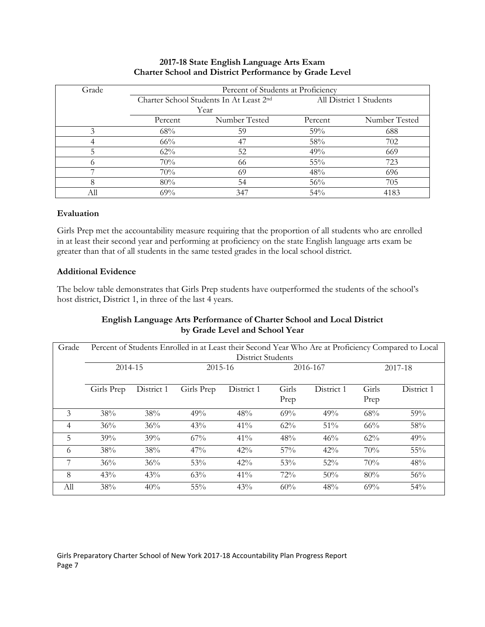| Grade |         | Percent of Students at Proficiency      |                         |               |  |  |  |
|-------|---------|-----------------------------------------|-------------------------|---------------|--|--|--|
|       |         | Charter School Students In At Least 2nd | All District 1 Students |               |  |  |  |
|       |         | Year                                    |                         |               |  |  |  |
|       | Percent | Number Tested                           | Percent                 | Number Tested |  |  |  |
| 3     | 68%     | 59                                      | 59%                     | 688           |  |  |  |
|       | $66\%$  | 47                                      | 58%                     | 702           |  |  |  |
|       | 62%     | 52                                      | 49%                     | 669           |  |  |  |
|       | 70%     | 66                                      | 55%                     | 723           |  |  |  |
|       | 70%     | 69                                      | 48%                     | 696           |  |  |  |
| 8     | 80%     | 54                                      | 56%                     | 705           |  |  |  |
|       | 69%     | 347                                     | 54%                     | 4183          |  |  |  |

# **2017-18 State English Language Arts Exam Charter School and District Performance by Grade Level**

# **Evaluation**

Girls Prep met the accountability measure requiring that the proportion of all students who are enrolled in at least their second year and performing at proficiency on the state English language arts exam be greater than that of all students in the same tested grades in the local school district.

## **Additional Evidence**

The below table demonstrates that Girls Prep students have outperformed the students of the school's host district, District 1, in three of the last 4 years.

# **English Language Arts Performance of Charter School and Local District by Grade Level and School Year**

| Grade |            | Percent of Students Enrolled in at Least their Second Year Who Are at Proficiency Compared to Local<br><b>District Students</b> |            |            |               |            |               |            |
|-------|------------|---------------------------------------------------------------------------------------------------------------------------------|------------|------------|---------------|------------|---------------|------------|
|       | 2014-15    |                                                                                                                                 |            | 2015-16    |               | 2016-167   |               | 2017-18    |
|       | Girls Prep | District 1                                                                                                                      | Girls Prep | District 1 | Girls<br>Prep | District 1 | Girls<br>Prep | District 1 |
| 3     | 38%        | 38%                                                                                                                             | 49%        | 48%        | 69%           | 49%        | 68%           | 59%        |
| 4     | 36%        | 36%                                                                                                                             | 43%        | 41%        | 62%           | 51%        | 66%           | 58%        |
| 5     | 39%        | 39%                                                                                                                             | $67\%$     | $41\%$     | 48%           | 46%        | 62%           | 49%        |
| 6     | 38%        | 38%                                                                                                                             | $47\%$     | $42\%$     | $57\%$        | $42\%$     | 70%           | 55%        |
| 7     | 36%        | 36%                                                                                                                             | 53%        | 42%        | 53%           | 52%        | 70%           | 48%        |
| 8     | 43%        | 43%                                                                                                                             | 63%        | 41%        | 72%           | 50%        | 80%           | 56%        |
| All   | 38%        | 40%                                                                                                                             | 55%        | 43%        | 60%           | 48%        | 69%           | 54%        |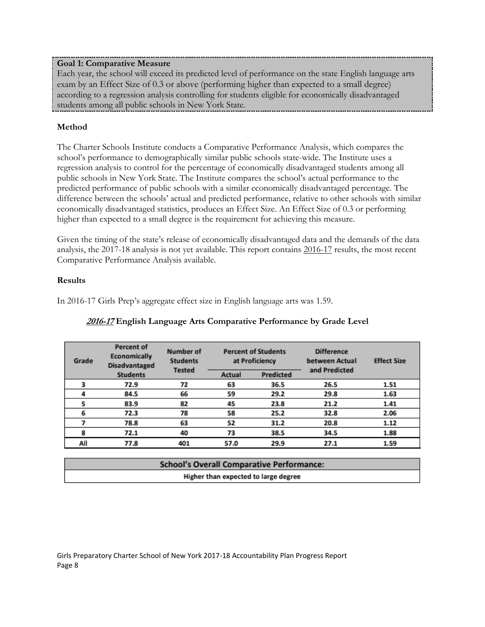# **Goal 1: Comparative Measure**

Each year, the school will exceed its predicted level of performance on the state English language arts exam by an Effect Size of 0.3 or above (performing higher than expected to a small degree) according to a regression analysis controlling for students eligible for economically disadvantaged students among all public schools in New York State.

# **Method**

The Charter Schools Institute conducts a Comparative Performance Analysis, which compares the school's performance to demographically similar public schools state-wide. The Institute uses a regression analysis to control for the percentage of economically disadvantaged students among all public schools in New York State. The Institute compares the school's actual performance to the predicted performance of public schools with a similar economically disadvantaged percentage. The difference between the schools' actual and predicted performance, relative to other schools with similar economically disadvantaged statistics, produces an Effect Size. An Effect Size of 0.3 or performing higher than expected to a small degree is the requirement for achieving this measure.

Given the timing of the state's release of economically disadvantaged data and the demands of the data analysis, the 2017-18 analysis is not yet available. This report contains 2016-17 results, the most recent Comparative Performance Analysis available.

# **Results**

In 2016-17 Girls Prep's aggregate effect size in English language arts was 1.59.

| Grade | <b>Percent of</b><br>Economically<br><b>Disadvantaged</b> | Number of<br><b>Students</b><br><b>Tested</b> |        | <b>Percent of Students</b><br>at Proficiency | <b>Difference</b><br>between Actual<br>and Predicted | <b>Effect Size</b> |
|-------|-----------------------------------------------------------|-----------------------------------------------|--------|----------------------------------------------|------------------------------------------------------|--------------------|
|       | <b>Students</b>                                           |                                               | Actual | Predicted                                    |                                                      |                    |
|       | 72.9                                                      | 72                                            | 63     | 36.5                                         | 26.5                                                 | 1.51               |
|       | 84.5                                                      | 66                                            | 59     | 29.2                                         | 29.8                                                 | 1.63               |
|       | 83.9                                                      | 82                                            | 45     | 23.8                                         | 21.2                                                 | 1.41               |
| 6     | 72.3                                                      | 78                                            | 58     | 25.2                                         | 32.8                                                 | 2.06               |
|       | 78.8                                                      | 63                                            | 52     | 31.2                                         | 20.8                                                 | 1.12               |
| 8     | 72.1                                                      | 40                                            | 73     | 38.5                                         | 34.5                                                 | 1.88               |
| All   | 77.8                                                      | 401                                           | 57.0   | 29.9                                         | 27.1                                                 | 1.59               |

# **2016-17 English Language Arts Comparative Performance by Grade Level**

| <b>School's Overall Comparative Performance:</b> |
|--------------------------------------------------|
| Higher than expected to large degree             |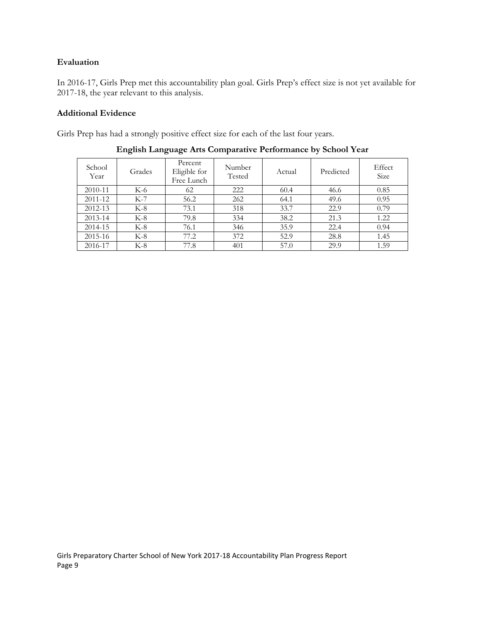# **Evaluation**

In 2016-17, Girls Prep met this accountability plan goal. Girls Prep's effect size is not yet available for 2017-18, the year relevant to this analysis.

# **Additional Evidence**

Girls Prep has had a strongly positive effect size for each of the last four years.

| School<br>Year | Grades | Percent<br>Eligible for<br>Free Lunch | Number<br>Tested | Actual | Predicted | Effect<br><b>Size</b> |
|----------------|--------|---------------------------------------|------------------|--------|-----------|-----------------------|
| 2010-11        | K-6    | 62                                    | 222              | 60.4   | 46.6      | 0.85                  |
| 2011-12        | $K-7$  | 56.2                                  | 262              | 64.1   | 49.6      | 0.95                  |
| 2012-13        | $K-8$  | 73.1                                  | 318              | 33.7   | 22.9      | 0.79                  |
| 2013-14        | $K-8$  | 79.8                                  | 334              | 38.2   | 21.3      | 1.22                  |
| 2014-15        | $K-8$  | 76.1                                  | 346              | 35.9   | 22.4      | 0.94                  |
| 2015-16        | $K-8$  | 77.2                                  | 372              | 52.9   | 28.8      | 1.45                  |
| 2016-17        | $K-8$  | 77.8                                  | 401              | 57.0   | 29.9      | 1.59                  |

**English Language Arts Comparative Performance by School Year**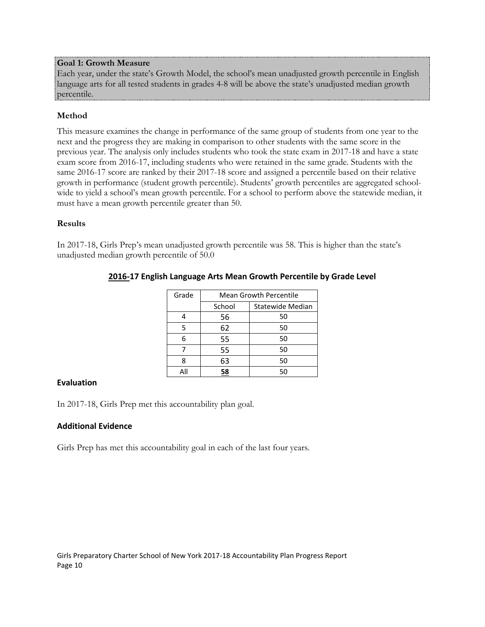## **Goal 1: Growth Measure**

Each year, under the state's Growth Model, the school's mean unadjusted growth percentile in English language arts for all tested students in grades 4-8 will be above the state's unadjusted median growth percentile.

## **Method**

This measure examines the change in performance of the same group of students from one year to the next and the progress they are making in comparison to other students with the same score in the previous year. The analysis only includes students who took the state exam in 2017-18 and have a state exam score from 2016-17, including students who were retained in the same grade. Students with the same 2016-17 score are ranked by their 2017-18 score and assigned a percentile based on their relative growth in performance (student growth percentile). Students' growth percentiles are aggregated schoolwide to yield a school's mean growth percentile. For a school to perform above the statewide median, it must have a mean growth percentile greater than 50.

#### **Results**

In 2017-18, Girls Prep's mean unadjusted growth percentile was 58. This is higher than the state's unadjusted median growth percentile of 50.0

| Grade | <b>Mean Growth Percentile</b> |                  |  |  |
|-------|-------------------------------|------------------|--|--|
|       | School                        | Statewide Median |  |  |
|       | 56                            | 50               |  |  |
| 5     | 62                            | 50               |  |  |
| հ     | 55                            | 50               |  |  |
|       | 55                            | 50               |  |  |
|       | 63                            | 50               |  |  |
|       |                               | 50               |  |  |

# **2016-17 English Language Arts Mean Growth Percentile by Grade Level**

#### **Evaluation**

In 2017-18, Girls Prep met this accountability plan goal.

## **Additional Evidence**

Girls Prep has met this accountability goal in each of the last four years.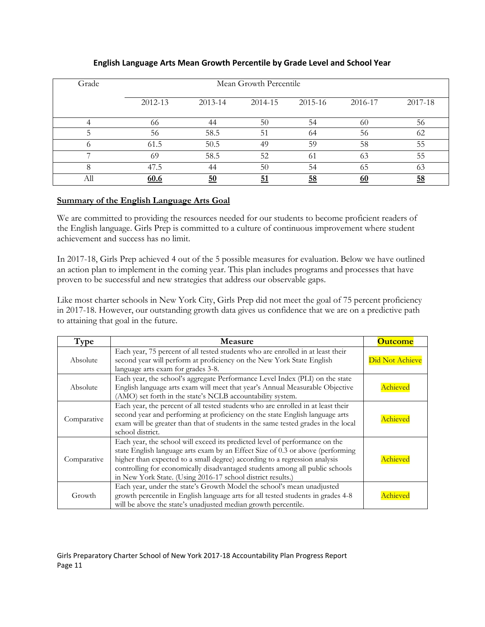| Grade    |         |         | Mean Growth Percentile |         |         |         |
|----------|---------|---------|------------------------|---------|---------|---------|
|          | 2012-13 | 2013-14 | 2014-15                | 2015-16 | 2016-17 | 2017-18 |
| Δ        | 66      | 44      | 50                     | 54      | 60      | 56      |
|          | 56      | 58.5    | 51                     | 64      | 56      | 62      |
| $\Omega$ | 61.5    | 50.5    | 49                     | 59      | 58      | 55      |
|          | 69      | 58.5    | 52                     | 61      | 63      | 55      |
| 8        | 47.5    | 44      | 50                     | 54      | 65      | 63      |
| All      | 60.6    | 50      | 51                     | 58      |         | 58      |

# **English Language Arts Mean Growth Percentile by Grade Level and School Year**

# **Summary of the English Language Arts Goal**

We are committed to providing the resources needed for our students to become proficient readers of the English language. Girls Prep is committed to a culture of continuous improvement where student achievement and success has no limit.

In 2017-18, Girls Prep achieved 4 out of the 5 possible measures for evaluation. Below we have outlined an action plan to implement in the coming year. This plan includes programs and processes that have proven to be successful and new strategies that address our observable gaps.

Like most charter schools in New York City, Girls Prep did not meet the goal of 75 percent proficiency in 2017-18. However, our outstanding growth data gives us confidence that we are on a predictive path to attaining that goal in the future.

| Type        | Measure                                                                                                                                                                                                                                                                                                                                                                                    | <b>Outcome</b>  |
|-------------|--------------------------------------------------------------------------------------------------------------------------------------------------------------------------------------------------------------------------------------------------------------------------------------------------------------------------------------------------------------------------------------------|-----------------|
| Absolute    | Each year, 75 percent of all tested students who are enrolled in at least their<br>second year will perform at proficiency on the New York State English<br>language arts exam for grades 3-8.                                                                                                                                                                                             | Did Not Achieve |
| Absolute    | Each year, the school's aggregate Performance Level Index (PLI) on the state<br>English language arts exam will meet that year's Annual Measurable Objective<br>(AMO) set forth in the state's NCLB accountability system.                                                                                                                                                                 | Achieved        |
| Comparative | Each year, the percent of all tested students who are enrolled in at least their<br>second year and performing at proficiency on the state English language arts<br>exam will be greater than that of students in the same tested grades in the local<br>school district.                                                                                                                  | Achieved        |
| Comparative | Each year, the school will exceed its predicted level of performance on the<br>state English language arts exam by an Effect Size of 0.3 or above (performing<br>higher than expected to a small degree) according to a regression analysis<br>controlling for economically disadvantaged students among all public schools<br>in New York State. (Using 2016-17 school district results.) | Achieved        |
| Growth      | Each year, under the state's Growth Model the school's mean unadjusted<br>growth percentile in English language arts for all tested students in grades 4-8<br>will be above the state's unadjusted median growth percentile.                                                                                                                                                               | <b>\chieved</b> |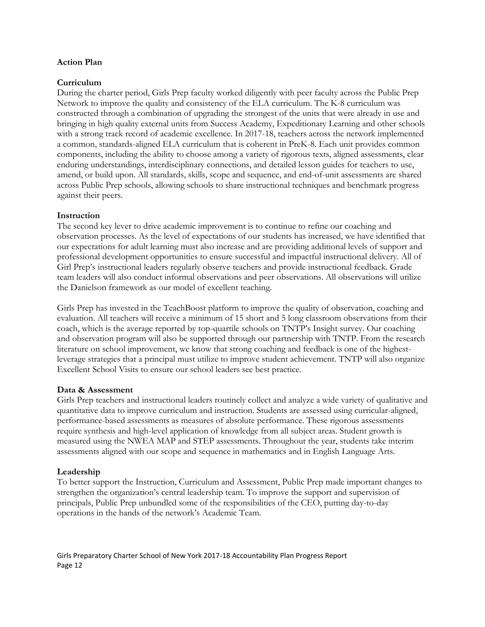### **Action Plan**

#### **Curriculum**

During the charter period, Girls Prep faculty worked diligently with peer faculty across the Public Prep Network to improve the quality and consistency of the ELA curriculum. The K-8 curriculum was constructed through a combination of upgrading the strongest of the units that were already in use and bringing in high quality external units from Success Academy, Expeditionary Learning and other schools with a strong track record of academic excellence. In 2017-18, teachers across the network implemented a common, standards-aligned ELA curriculum that is coherent in PreK-8. Each unit provides common components, including the ability to choose among a variety of rigorous texts, aligned assessments, clear enduring understandings, interdisciplinary connections, and detailed lesson guides for teachers to use, amend, or build upon. All standards, skills, scope and sequence, and end-of-unit assessments are shared across Public Prep schools, allowing schools to share instructional techniques and benchmark progress against their peers.

#### **Instruction**

The second key lever to drive academic improvement is to continue to refine our coaching and observation processes. As the level of expectations of our students has increased, we have identified that our expectations for adult learning must also increase and are providing additional levels of support and professional development opportunities to ensure successful and impactful instructional delivery. All of Girl Prep's instructional leaders regularly observe teachers and provide instructional feedback. Grade team leaders will also conduct informal observations and peer observations. All observations will utilize the Danielson framework as our model of excellent teaching.

Girls Prep has invested in the TeachBoost platform to improve the quality of observation, coaching and evaluation. All teachers will receive a minimum of 15 short and 5 long classroom observations from their coach, which is the average reported by top-quartile schools on TNTP's Insight survey. Our coaching and observation program will also be supported through our partnership with TNTP. From the research literature on school improvement, we know that strong coaching and feedback is one of the highestleverage strategies that a principal must utilize to improve student achievement. TNTP will also organize Excellent School Visits to ensure our school leaders see best practice.

#### **Data & Assessment**

Girls Prep teachers and instructional leaders routinely collect and analyze a wide variety of qualitative and quantitative data to improve curriculum and instruction. Students are assessed using curricular-aligned, performance-based assessments as measures of absolute performance. These rigorous assessments require synthesis and high-level application of knowledge from all subject areas. Student growth is measured using the NWEA MAP and STEP assessments. Throughout the year, students take interim assessments aligned with our scope and sequence in mathematics and in English Language Arts.

## **Leadership**

To better support the Instruction, Curriculum and Assessment, Public Prep made important changes to strengthen the organization's central leadership team. To improve the support and supervision of principals, Public Prep unbundled some of the responsibilities of the CEO, putting day-to-day operations in the hands of the network's Academic Team.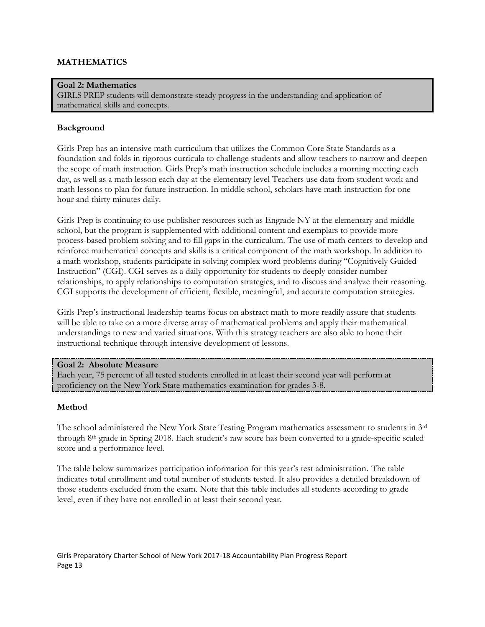# **MATHEMATICS**

**Goal 2: Mathematics** GIRLS PREP students will demonstrate steady progress in the understanding and application of mathematical skills and concepts.

## **Background**

Girls Prep has an intensive math curriculum that utilizes the Common Core State Standards as a foundation and folds in rigorous curricula to challenge students and allow teachers to narrow and deepen the scope of math instruction. Girls Prep's math instruction schedule includes a morning meeting each day, as well as a math lesson each day at the elementary level Teachers use data from student work and math lessons to plan for future instruction. In middle school, scholars have math instruction for one hour and thirty minutes daily.

Girls Prep is continuing to use publisher resources such as Engrade NY at the elementary and middle school, but the program is supplemented with additional content and exemplars to provide more process-based problem solving and to fill gaps in the curriculum. The use of math centers to develop and reinforce mathematical concepts and skills is a critical component of the math workshop. In addition to a math workshop, students participate in solving complex word problems during "Cognitively Guided Instruction" (CGI). CGI serves as a daily opportunity for students to deeply consider number relationships, to apply relationships to computation strategies, and to discuss and analyze their reasoning. CGI supports the development of efficient, flexible, meaningful, and accurate computation strategies.

Girls Prep's instructional leadership teams focus on abstract math to more readily assure that students will be able to take on a more diverse array of mathematical problems and apply their mathematical understandings to new and varied situations. With this strategy teachers are also able to hone their instructional technique through intensive development of lessons.

#### **Goal 2: Absolute Measure**

Each year, 75 percent of all tested students enrolled in at least their second year will perform at proficiency on the New York State mathematics examination for grades 3-8.

## **Method**

The school administered the New York State Testing Program mathematics assessment to students in 3rd through 8th grade in Spring 2018. Each student's raw score has been converted to a grade-specific scaled score and a performance level.

The table below summarizes participation information for this year's test administration. The table indicates total enrollment and total number of students tested. It also provides a detailed breakdown of those students excluded from the exam. Note that this table includes all students according to grade level, even if they have not enrolled in at least their second year.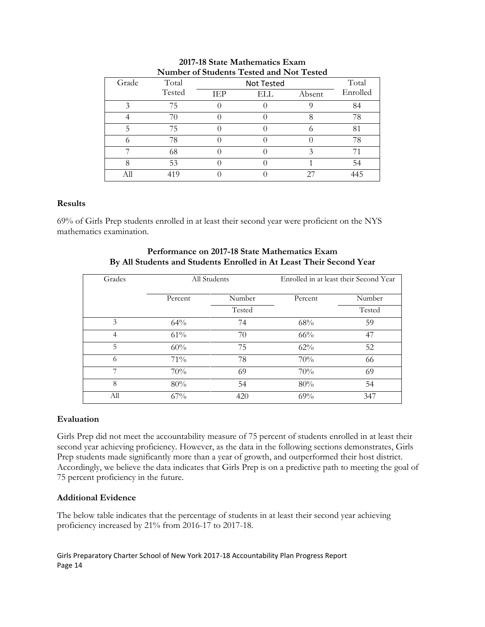|                    |        |            | $\ldots$   |        |          |
|--------------------|--------|------------|------------|--------|----------|
| Grade              | Total  |            | Not Tested |        | Total    |
|                    | Tested | <b>TEP</b> | ELL        | Absent | Enrolled |
| $\mathbf{\hat{z}}$ | 75     |            |            |        | 84       |
|                    | 70     |            |            |        | 78       |
|                    | 75     |            |            |        | 81       |
|                    | 78     |            |            |        | 78       |
|                    | 68     |            |            |        |          |
|                    | 53     |            |            |        | 54       |
|                    | 419    |            |            | 27     |          |

#### **2017-18 State Mathematics Exam Number of Students Tested and Not Tested**

## **Results**

69% of Girls Prep students enrolled in at least their second year were proficient on the NYS mathematics examination.

| Grades         | All Students |        | Enrolled in at least their Second Year |        |  |
|----------------|--------------|--------|----------------------------------------|--------|--|
|                | Percent      | Number | Percent                                | Number |  |
|                |              | Tested |                                        | Tested |  |
| 3              | 64%          | 74     | 68%                                    | 59     |  |
| $\overline{4}$ | 61%          | 70     | 66%                                    | 47     |  |
| 5              | 60%          | 75     | 62%                                    | 52     |  |
| 6              | 71%          | 78     | 70%                                    | 66     |  |
| 7              | 70%          | 69     | 70%                                    | 69     |  |
| 8              | 80%          | 54     | 80%                                    | 54     |  |
| All            | 67%          | 420    | 69%                                    | 347    |  |

## **Performance on 2017-18 State Mathematics Exam By All Students and Students Enrolled in At Least Their Second Year**

## **Evaluation**

Girls Prep did not meet the accountability measure of 75 percent of students enrolled in at least their second year achieving proficiency. However, as the data in the following sections demonstrates, Girls Prep students made significantly more than a year of growth, and outperformed their host district. Accordingly, we believe the data indicates that Girls Prep is on a predictive path to meeting the goal of 75 percent proficiency in the future.

## **Additional Evidence**

The below table indicates that the percentage of students in at least their second year achieving proficiency increased by 21% from 2016-17 to 2017-18.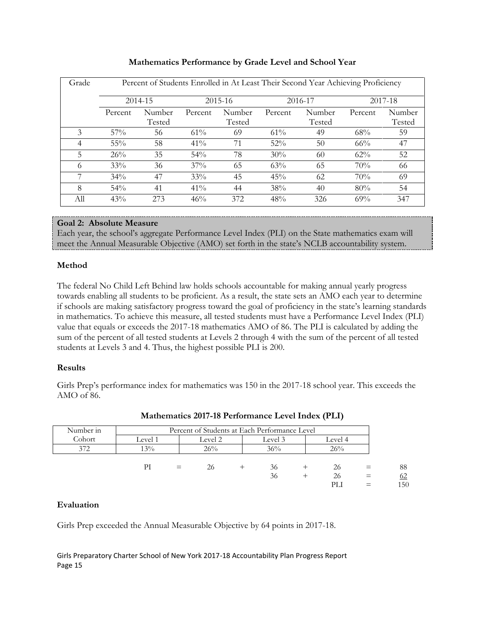| Grade | Percent of Students Enrolled in At Least Their Second Year Achieving Proficiency |         |         |         |         |         |         |         |
|-------|----------------------------------------------------------------------------------|---------|---------|---------|---------|---------|---------|---------|
|       |                                                                                  | 2014-15 |         | 2015-16 |         | 2016-17 |         | 2017-18 |
|       | Percent                                                                          | Number  | Percent | Number  | Percent | Number  | Percent | Number  |
|       |                                                                                  | Tested  |         | Tested  |         | Tested  |         | Tested  |
| 3     | $57\%$                                                                           | 56      | $61\%$  | 69      | 61%     | 49      | 68%     | 59      |
| 4     | 55%                                                                              | 58      | 41%     | 71      | 52%     | 50      | $66\%$  | 47      |
| 5     | 26%                                                                              | 35      | 54%     | 78      | 30%     | 60      | 62%     | 52      |
| 6     | 33%                                                                              | 36      | $37\%$  | 65      | 63%     | 65      | 70%     | 66      |
|       | 34%                                                                              | 47      | 33%     | 45      | 45%     | 62      | 70%     | 69      |
| 8     | 54%                                                                              | 41      | 41%     | 44      | 38%     | 40      | 80%     | 54      |
| All   | 43%                                                                              | 273     | 46%     | 372     | 48%     | 326     | 69%     | 347     |

# **Mathematics Performance by Grade Level and School Year**

# **Goal 2: Absolute Measure**

Each year, the school's aggregate Performance Level Index (PLI) on the State mathematics exam will meet the Annual Measurable Objective (AMO) set forth in the state's NCLB accountability system.

# **Method**

The federal No Child Left Behind law holds schools accountable for making annual yearly progress towards enabling all students to be proficient. As a result, the state sets an AMO each year to determine if schools are making satisfactory progress toward the goal of proficiency in the state's learning standards in mathematics. To achieve this measure, all tested students must have a Performance Level Index (PLI) value that equals or exceeds the 2017-18 mathematics AMO of 86. The PLI is calculated by adding the sum of the percent of all tested students at Levels 2 through 4 with the sum of the percent of all tested students at Levels 3 and 4. Thus, the highest possible PLI is 200.

# **Results**

Girls Prep's performance index for mathematics was 150 in the 2017-18 school year. This exceeds the AMO of 86.

| Number in |         |     |         | Percent of Students at Each Performance Level |                 |                        |                 |
|-----------|---------|-----|---------|-----------------------------------------------|-----------------|------------------------|-----------------|
| Cohort    | Level 1 |     | Level 2 | Level 3                                       | Level 4         |                        |                 |
| 372       | 13%     |     | 26%     | 36%                                           | 26%             |                        |                 |
|           | PI      | $=$ | 26      | 36<br>36                                      | 26<br>26<br>PLI | $=$<br>$\equiv$<br>$=$ | 88<br>62<br>150 |

# **Mathematics 2017-18 Performance Level Index (PLI)**

# **Evaluation**

Girls Prep exceeded the Annual Measurable Objective by 64 points in 2017-18.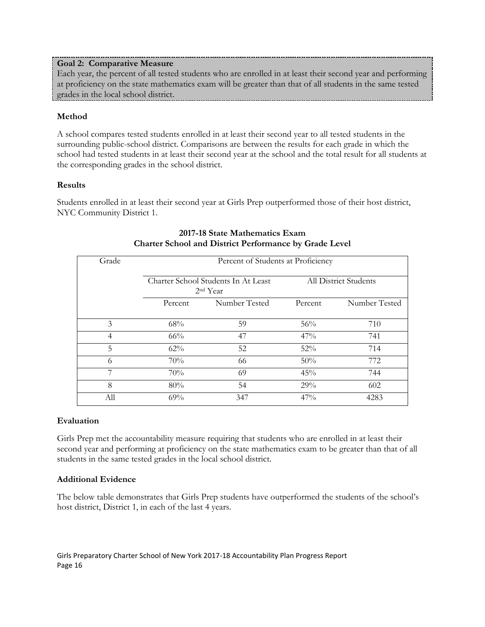# **Goal 2: Comparative Measure**

Each year, the percent of all tested students who are enrolled in at least their second year and performing at proficiency on the state mathematics exam will be greater than that of all students in the same tested grades in the local school district.

# **Method**

A school compares tested students enrolled in at least their second year to all tested students in the surrounding public-school district. Comparisons are between the results for each grade in which the school had tested students in at least their second year at the school and the total result for all students at the corresponding grades in the school district.

# **Results**

Students enrolled in at least their second year at Girls Prep outperformed those of their host district, NYC Community District 1.

| Grade          |         | Percent of Students at Proficiency                |         |                       |  |  |  |
|----------------|---------|---------------------------------------------------|---------|-----------------------|--|--|--|
|                |         | Charter School Students In At Least<br>$2nd$ Year |         | All District Students |  |  |  |
|                | Percent | Number Tested                                     | Percent | Number Tested         |  |  |  |
| 3              | 68%     | 59                                                | 56%     | 710                   |  |  |  |
| $\overline{4}$ | 66%     | 47                                                | 47%     | 741                   |  |  |  |
| 5              | 62%     | 52                                                | 52%     | 714                   |  |  |  |
| 6              | 70%     | 66                                                | 50%     | 772                   |  |  |  |
| 7              | 70%     | 69                                                | 45%     | 744                   |  |  |  |
| 8              | 80%     | 54                                                | 29%     | 602                   |  |  |  |
| All            | 69%     | 347                                               | 47%     | 4283                  |  |  |  |

# **2017-18 State Mathematics Exam Charter School and District Performance by Grade Level**

## **Evaluation**

Girls Prep met the accountability measure requiring that students who are enrolled in at least their second year and performing at proficiency on the state mathematics exam to be greater than that of all students in the same tested grades in the local school district.

# **Additional Evidence**

The below table demonstrates that Girls Prep students have outperformed the students of the school's host district, District 1, in each of the last 4 years.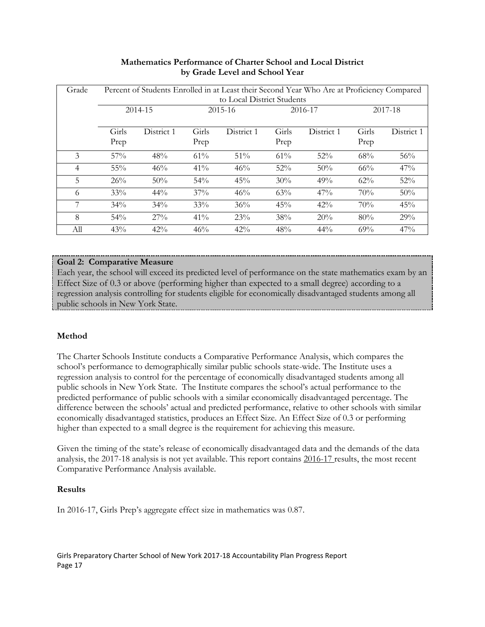| Grade          |               | Percent of Students Enrolled in at Least their Second Year Who Are at Proficiency Compared<br>to Local District Students |               |            |               |            |               |            |
|----------------|---------------|--------------------------------------------------------------------------------------------------------------------------|---------------|------------|---------------|------------|---------------|------------|
|                |               | 2014-15                                                                                                                  |               | 2015-16    |               | 2016-17    |               | 2017-18    |
|                | Girls<br>Prep | District 1                                                                                                               | Girls<br>Prep | District 1 | Girls<br>Prep | District 1 | Girls<br>Prep | District 1 |
| 3              | 57%           | 48%                                                                                                                      | 61%           | 51%        | 61%           | 52%        | 68%           | 56%        |
| $\overline{4}$ | 55%           | 46%                                                                                                                      | 41%           | 46%        | 52%           | 50%        | 66%           | 47%        |
| 5              | 26%           | 50%                                                                                                                      | 54%           | 45%        | 30%           | 49%        | 62%           | 52%        |
| 6              | 33%           | 44%                                                                                                                      | 37%           | 46%        | 63%           | 47%        | 70%           | 50%        |
| 7              | 34%           | 34%                                                                                                                      | 33%           | 36%        | 45%           | 42%        | 70%           | 45%        |
| 8              | 54%           | $27\%$                                                                                                                   | 41%           | 23%        | 38%           | 20%        | 80%           | 29%        |
| All            | 43%           | 42%                                                                                                                      | 46%           | 42%        | 48%           | 44%        | 69%           | 47%        |

# **Mathematics Performance of Charter School and Local District by Grade Level and School Year**

# **Goal 2: Comparative Measure**

Each year, the school will exceed its predicted level of performance on the state mathematics exam by an Effect Size of 0.3 or above (performing higher than expected to a small degree) according to a regression analysis controlling for students eligible for economically disadvantaged students among all public schools in New York State.

# **Method**

The Charter Schools Institute conducts a Comparative Performance Analysis, which compares the school's performance to demographically similar public schools state-wide. The Institute uses a regression analysis to control for the percentage of economically disadvantaged students among all public schools in New York State. The Institute compares the school's actual performance to the predicted performance of public schools with a similar economically disadvantaged percentage. The difference between the schools' actual and predicted performance, relative to other schools with similar economically disadvantaged statistics, produces an Effect Size. An Effect Size of 0.3 or performing higher than expected to a small degree is the requirement for achieving this measure.

Given the timing of the state's release of economically disadvantaged data and the demands of the data analysis, the 2017-18 analysis is not yet available. This report contains 2016-17 results, the most recent Comparative Performance Analysis available.

# **Results**

In 2016-17, Girls Prep's aggregate effect size in mathematics was 0.87.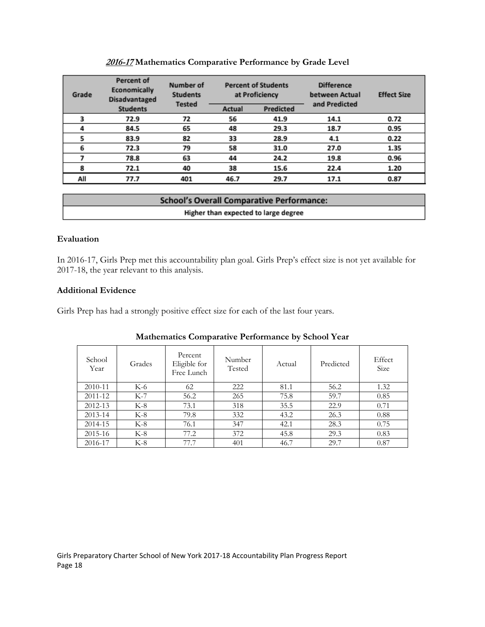| Grade | <b>Percent of</b><br>Economically<br><b>Disadvantaged</b> | Number of<br><b>Students</b><br><b>Tested</b> |        | <b>Percent of Students</b><br>at Proficiency | <b>Difference</b><br>between Actual<br>and Predicted | <b>Effect Size</b> |
|-------|-----------------------------------------------------------|-----------------------------------------------|--------|----------------------------------------------|------------------------------------------------------|--------------------|
|       | <b>Students</b>                                           |                                               | Actual | Predicted                                    |                                                      |                    |
|       | 72.9                                                      | 72                                            | 56     | 41.9                                         | 14.1                                                 | 0.72               |
|       | 84.5                                                      | 65                                            | 48     | 29.3                                         | 18.7                                                 | 0.95               |
|       | 83.9                                                      | 82                                            | 33     | 28.9                                         | 4.1                                                  | 0.22               |
| 6     | 72.3                                                      | 79                                            | 58     | 31.0                                         | 27.0                                                 | 1.35               |
|       | 78.8                                                      | 63                                            | 44     | 24.2                                         | 19.8                                                 | 0.96               |
| 8     | 72.1                                                      | 40                                            | 38     | 15.6                                         | 22.4                                                 | 1.20               |
| All   | 77.7                                                      | 401                                           | 46.7   | 29.7                                         | 17.1                                                 | 0.87               |

#### **2016-17 Mathematics Comparative Performance by Grade Level**

| <b>School's Overall Comparative Performance:</b> |  |
|--------------------------------------------------|--|
| Higher than expected to large degree             |  |

## **Evaluation**

In 2016-17, Girls Prep met this accountability plan goal. Girls Prep's effect size is not yet available for 2017-18, the year relevant to this analysis.

## **Additional Evidence**

Girls Prep has had a strongly positive effect size for each of the last four years.

| School<br>Year | Grades | Percent<br>Eligible for<br>Free Lunch | Number<br>Tested | Actual | Predicted | Effect<br><b>Size</b> |
|----------------|--------|---------------------------------------|------------------|--------|-----------|-----------------------|
| 2010-11        | K-6    | 62                                    | 222              | 81.1   | 56.2      | 1.32                  |
| 2011-12        | $K-7$  | 56.2                                  | 265              | 75.8   | 59.7      | 0.85                  |
| 2012-13        | $K-8$  | 73.1                                  | 318              | 35.5   | 22.9      | 0.71                  |
| 2013-14        | $K-8$  | 79.8                                  | 332              | 43.2   | 26.3      | 0.88                  |
| 2014-15        | $K-8$  | 76.1                                  | 347              | 42.1   | 28.3      | 0.75                  |
| $2015 - 16$    | K-8    | 77.2                                  | 372              | 45.8   | 29.3      | 0.83                  |
| 2016-17        | $K-8$  | 77.7                                  | 401              | 46.7   | 29.7      | 0.87                  |

# **Mathematics Comparative Performance by School Year**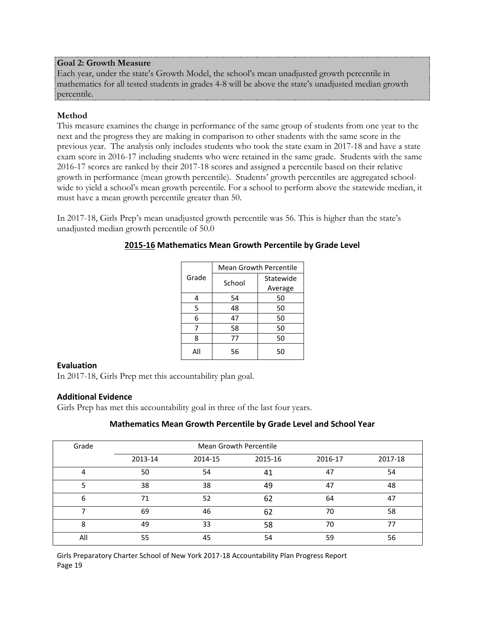## **Goal 2: Growth Measure**

Each year, under the state's Growth Model, the school's mean unadjusted growth percentile in mathematics for all tested students in grades 4-8 will be above the state's unadjusted median growth percentile.

# **Method**

This measure examines the change in performance of the same group of students from one year to the next and the progress they are making in comparison to other students with the same score in the previous year. The analysis only includes students who took the state exam in 2017-18 and have a state exam score in 2016-17 including students who were retained in the same grade. Students with the same 2016-17 scores are ranked by their 2017-18 scores and assigned a percentile based on their relative growth in performance (mean growth percentile). Students' growth percentiles are aggregated schoolwide to yield a school's mean growth percentile. For a school to perform above the statewide median, it must have a mean growth percentile greater than 50.

In 2017-18, Girls Prep's mean unadjusted growth percentile was 56. This is higher than the state's unadjusted median growth percentile of 50.0

|       | <b>Mean Growth Percentile</b> |           |  |  |  |
|-------|-------------------------------|-----------|--|--|--|
| Grade | School                        | Statewide |  |  |  |
|       |                               | Average   |  |  |  |
| 4     | 54                            | 50        |  |  |  |
| 5     | 48                            | 50        |  |  |  |
| 6     | 47                            | 50        |  |  |  |
|       | 58                            | 50        |  |  |  |
| 8     | 77                            | 50        |  |  |  |
| All   | 56                            | 50        |  |  |  |

# **2015-16 Mathematics Mean Growth Percentile by Grade Level**

## **Evaluation**

In 2017-18, Girls Prep met this accountability plan goal.

# **Additional Evidence**

Girls Prep has met this accountability goal in three of the last four years.

# **Mathematics Mean Growth Percentile by Grade Level and School Year**

| Grade | <b>Mean Growth Percentile</b> |         |         |         |         |  |  |
|-------|-------------------------------|---------|---------|---------|---------|--|--|
|       | 2013-14                       | 2014-15 | 2015-16 | 2016-17 | 2017-18 |  |  |
|       | 50                            | 54      | 41      | 47      | 54      |  |  |
|       | 38                            | 38      | 49      | 47      | 48      |  |  |
| 6     | 71                            | 52      | 62      | 64      | 47      |  |  |
|       | 69                            | 46      | 62      | 70      | 58      |  |  |
| 8     | 49                            | 33      | 58      | 70      | 77      |  |  |
| All   | 55                            | 45      | 54      | 59      | 56      |  |  |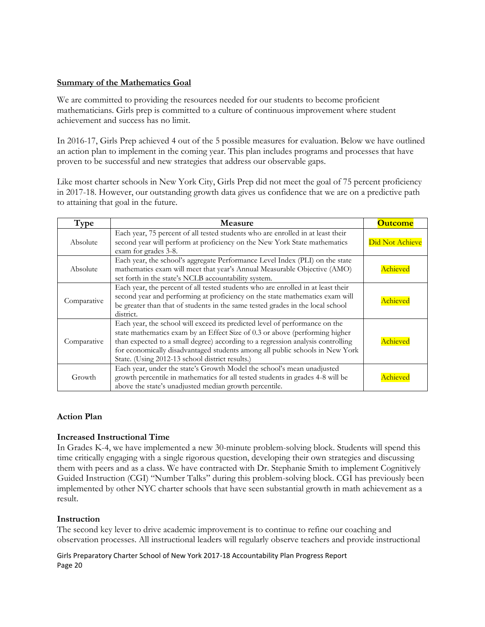# **Summary of the Mathematics Goal**

We are committed to providing the resources needed for our students to become proficient mathematicians. Girls prep is committed to a culture of continuous improvement where student achievement and success has no limit.

In 2016-17, Girls Prep achieved 4 out of the 5 possible measures for evaluation. Below we have outlined an action plan to implement in the coming year. This plan includes programs and processes that have proven to be successful and new strategies that address our observable gaps.

Like most charter schools in New York City, Girls Prep did not meet the goal of 75 percent proficiency in 2017-18. However, our outstanding growth data gives us confidence that we are on a predictive path to attaining that goal in the future.

| Type        | <b>Measure</b>                                                                                                                                                                                                                                                                                                                                                                   | <b>Outcome</b>  |
|-------------|----------------------------------------------------------------------------------------------------------------------------------------------------------------------------------------------------------------------------------------------------------------------------------------------------------------------------------------------------------------------------------|-----------------|
| Absolute    | Each year, 75 percent of all tested students who are enrolled in at least their<br>second year will perform at proficiency on the New York State mathematics<br>exam for grades 3-8.                                                                                                                                                                                             | Did Not Achieve |
| Absolute    | Each year, the school's aggregate Performance Level Index (PLI) on the state<br>mathematics exam will meet that year's Annual Measurable Objective (AMO)<br>set forth in the state's NCLB accountability system.                                                                                                                                                                 | Achieved        |
| Comparative | Each year, the percent of all tested students who are enrolled in at least their<br>second year and performing at proficiency on the state mathematics exam will<br>be greater than that of students in the same tested grades in the local school<br>district.                                                                                                                  | Achieved        |
| Comparative | Each year, the school will exceed its predicted level of performance on the<br>state mathematics exam by an Effect Size of 0.3 or above (performing higher<br>than expected to a small degree) according to a regression analysis controlling<br>for economically disadvantaged students among all public schools in New York<br>State. (Using 2012-13 school district results.) | Achieved        |
| Growth      | Each year, under the state's Growth Model the school's mean unadjusted<br>growth percentile in mathematics for all tested students in grades 4-8 will be<br>above the state's unadjusted median growth percentile.                                                                                                                                                               | chieved         |

## **Action Plan**

## **Increased Instructional Time**

In Grades K-4, we have implemented a new 30-minute problem-solving block. Students will spend this time critically engaging with a single rigorous question, developing their own strategies and discussing them with peers and as a class. We have contracted with Dr. Stephanie Smith to implement Cognitively Guided Instruction (CGI) "Number Talks" during this problem-solving block. CGI has previously been implemented by other NYC charter schools that have seen substantial growth in math achievement as a result.

## **Instruction**

The second key lever to drive academic improvement is to continue to refine our coaching and observation processes. All instructional leaders will regularly observe teachers and provide instructional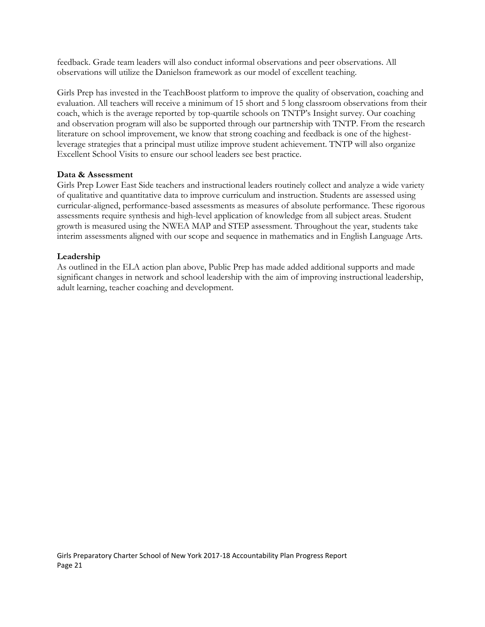feedback. Grade team leaders will also conduct informal observations and peer observations. All observations will utilize the Danielson framework as our model of excellent teaching.

Girls Prep has invested in the TeachBoost platform to improve the quality of observation, coaching and evaluation. All teachers will receive a minimum of 15 short and 5 long classroom observations from their coach, which is the average reported by top-quartile schools on TNTP's Insight survey. Our coaching and observation program will also be supported through our partnership with TNTP. From the research literature on school improvement, we know that strong coaching and feedback is one of the highestleverage strategies that a principal must utilize improve student achievement. TNTP will also organize Excellent School Visits to ensure our school leaders see best practice.

# **Data & Assessment**

Girls Prep Lower East Side teachers and instructional leaders routinely collect and analyze a wide variety of qualitative and quantitative data to improve curriculum and instruction. Students are assessed using curricular-aligned, performance-based assessments as measures of absolute performance. These rigorous assessments require synthesis and high-level application of knowledge from all subject areas. Student growth is measured using the NWEA MAP and STEP assessment. Throughout the year, students take interim assessments aligned with our scope and sequence in mathematics and in English Language Arts.

# **Leadership**

As outlined in the ELA action plan above, Public Prep has made added additional supports and made significant changes in network and school leadership with the aim of improving instructional leadership, adult learning, teacher coaching and development.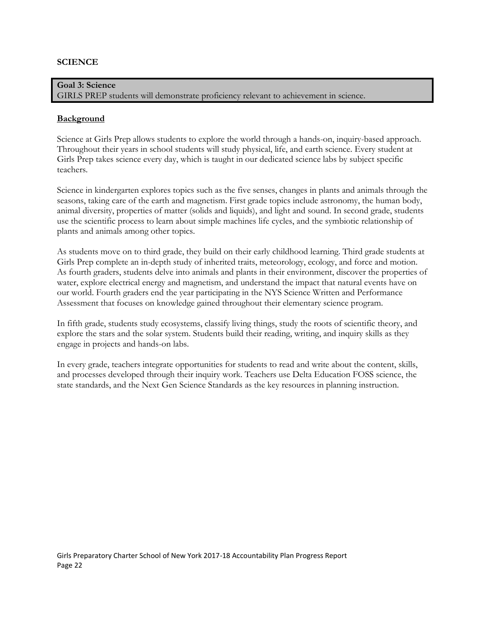#### **SCIENCE**

**Goal 3: Science** GIRLS PREP students will demonstrate proficiency relevant to achievement in science.

#### **Background**

Science at Girls Prep allows students to explore the world through a hands-on, inquiry-based approach. Throughout their years in school students will study physical, life, and earth science. Every student at Girls Prep takes science every day, which is taught in our dedicated science labs by subject specific teachers.

Science in kindergarten explores topics such as the five senses, changes in plants and animals through the seasons, taking care of the earth and magnetism. First grade topics include astronomy, the human body, animal diversity, properties of matter (solids and liquids), and light and sound. In second grade, students use the scientific process to learn about simple machines life cycles, and the symbiotic relationship of plants and animals among other topics.

As students move on to third grade, they build on their early childhood learning. Third grade students at Girls Prep complete an in-depth study of inherited traits, meteorology, ecology, and force and motion. As fourth graders, students delve into animals and plants in their environment, discover the properties of water, explore electrical energy and magnetism, and understand the impact that natural events have on our world. Fourth graders end the year participating in the NYS Science Written and Performance Assessment that focuses on knowledge gained throughout their elementary science program.

In fifth grade, students study ecosystems, classify living things, study the roots of scientific theory, and explore the stars and the solar system. Students build their reading, writing, and inquiry skills as they engage in projects and hands-on labs.

In every grade, teachers integrate opportunities for students to read and write about the content, skills, and processes developed through their inquiry work. Teachers use Delta Education FOSS science, the state standards, and the Next Gen Science Standards as the key resources in planning instruction.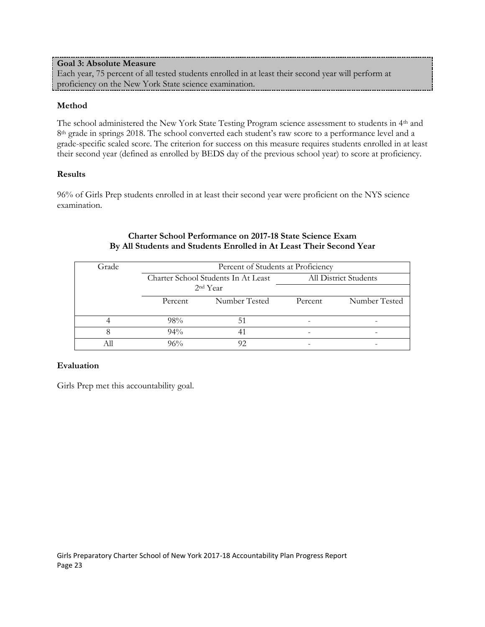# **Goal 3: Absolute Measure**

Each year, 75 percent of all tested students enrolled in at least their second year will perform at proficiency on the New York State science examination.

# **Method**

The school administered the New York State Testing Program science assessment to students in 4th and 8<sup>th</sup> grade in springs 2018. The school converted each student's raw score to a performance level and a grade-specific scaled score. The criterion for success on this measure requires students enrolled in at least their second year (defined as enrolled by BEDS day of the previous school year) to score at proficiency.

# **Results**

96% of Girls Prep students enrolled in at least their second year were proficient on the NYS science examination.

# **Charter School Performance on 2017-18 State Science Exam By All Students and Students Enrolled in At Least Their Second Year**

| Grade | Percent of Students at Proficiency  |               |         |                       |  |  |
|-------|-------------------------------------|---------------|---------|-----------------------|--|--|
|       | Charter School Students In At Least |               |         | All District Students |  |  |
|       | 2 <sup>nd</sup> Year                |               |         |                       |  |  |
|       | Percent                             | Number Tested | Percent | Number Tested         |  |  |
|       |                                     |               |         |                       |  |  |
|       | 98%                                 | 51            |         |                       |  |  |
|       | $94\%$                              |               |         |                       |  |  |
|       | 96%                                 |               |         |                       |  |  |

# **Evaluation**

Girls Prep met this accountability goal.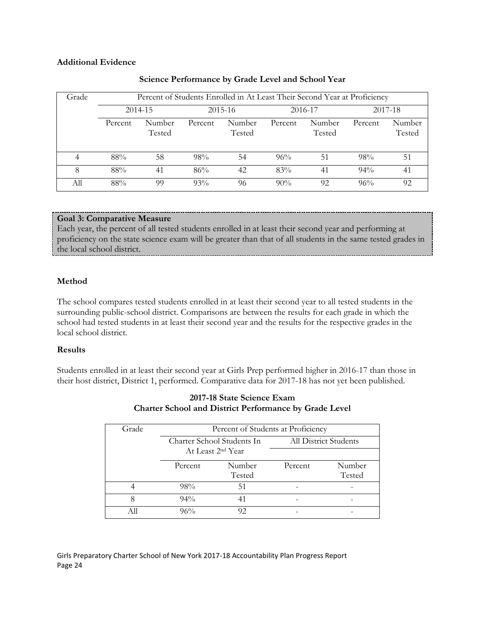## **Additional Evidence**

| Grade | Percent of Students Enrolled in At Least Their Second Year at Proficiency |                  |         |                  |         |                  |         |                  |  |
|-------|---------------------------------------------------------------------------|------------------|---------|------------------|---------|------------------|---------|------------------|--|
|       | 2014-15                                                                   |                  | 2015-16 |                  | 2016-17 |                  | 2017-18 |                  |  |
|       | Percent                                                                   | Number<br>Tested | Percent | Number<br>Tested | Percent | Number<br>Tested | Percent | Number<br>Tested |  |
| 4     | 88%                                                                       | 58               | 98%     | 54               | 96%     | 51               | 98%     | 51               |  |
| 8     | 88%                                                                       | 41               | 86%     | 42               | 83%     | 41               | $94\%$  | 41               |  |
| Аll   | 88%                                                                       | 99               | 93%     | 96               | $90\%$  | 92               | 96%     | 92               |  |

## **Science Performance by Grade Level and School Year**

# **Goal 3: Comparative Measure**

Each year, the percent of all tested students enrolled in at least their second year and performing at proficiency on the state science exam will be greater than that of all students in the same tested grades in the local school district.

# **Method**

The school compares tested students enrolled in at least their second year to all tested students in the surrounding public-school district. Comparisons are between the results for each grade in which the school had tested students in at least their second year and the results for the respective grades in the local school district.

# **Results**

Students enrolled in at least their second year at Girls Prep performed higher in 2016-17 than those in their host district, District 1, performed. Comparative data for 2017-18 has not yet been published.

| Grade | Percent of Students at Proficiency |                               |         |                       |  |  |
|-------|------------------------------------|-------------------------------|---------|-----------------------|--|--|
|       |                                    | Charter School Students In    |         | All District Students |  |  |
|       |                                    | At Least 2 <sup>nd</sup> Year |         |                       |  |  |
|       | Percent                            | Number                        | Percent | Number                |  |  |
|       |                                    | Tested                        |         | Tested                |  |  |
|       | 98%                                | 51                            |         |                       |  |  |
|       | $94\%$                             |                               |         |                       |  |  |
|       | 96%                                | 92                            |         |                       |  |  |

# **2017-18 State Science Exam Charter School and District Performance by Grade Level**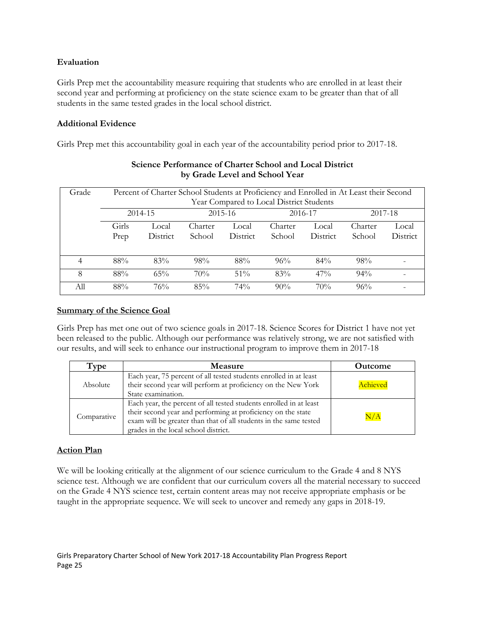# **Evaluation**

Girls Prep met the accountability measure requiring that students who are enrolled in at least their second year and performing at proficiency on the state science exam to be greater than that of all students in the same tested grades in the local school district.

# **Additional Evidence**

Girls Prep met this accountability goal in each year of the accountability period prior to 2017-18.

| Grade | Percent of Charter School Students at Proficiency and Enrolled in At Least their Second<br>Year Compared to Local District Students<br>$2015 - 16$<br>2014-15<br>2016-17<br>2017-18 |                   |                   |                   |                   |                   |                   |                   |
|-------|-------------------------------------------------------------------------------------------------------------------------------------------------------------------------------------|-------------------|-------------------|-------------------|-------------------|-------------------|-------------------|-------------------|
|       | Girls<br>Prep                                                                                                                                                                       | Local<br>District | Charter<br>School | Local<br>District | Charter<br>School | Local<br>District | Charter<br>School | Local<br>District |
| 4     | 88%                                                                                                                                                                                 | 83%               | 98%               | 88%               | 96%               | $84\%$            | 98%               |                   |
| 8     | 88%                                                                                                                                                                                 | 65%               | 70%               | 51%               | 83%               | $47\%$            | 94%               |                   |
| All   | 88%                                                                                                                                                                                 | 76%               | 85%               | $74\%$            | $90\%$            | 70%               | 96%               |                   |

# **Science Performance of Charter School and Local District by Grade Level and School Year**

# **Summary of the Science Goal**

Girls Prep has met one out of two science goals in 2017-18. Science Scores for District 1 have not yet been released to the public. Although our performance was relatively strong, we are not satisfied with our results, and will seek to enhance our instructional program to improve them in 2017-18

| Type        | <b>Measure</b>                                                                                                                                                                                                                                  | <b>Outcome</b> |
|-------------|-------------------------------------------------------------------------------------------------------------------------------------------------------------------------------------------------------------------------------------------------|----------------|
| Absolute    | Each year, 75 percent of all tested students enrolled in at least<br>their second year will perform at proficiency on the New York<br>State examination.                                                                                        | Achieved       |
| Comparative | Each year, the percent of all tested students enrolled in at least<br>their second year and performing at proficiency on the state<br>exam will be greater than that of all students in the same tested<br>grades in the local school district. | $\rm N/A$      |

# **Action Plan**

We will be looking critically at the alignment of our science curriculum to the Grade 4 and 8 NYS science test. Although we are confident that our curriculum covers all the material necessary to succeed on the Grade 4 NYS science test, certain content areas may not receive appropriate emphasis or be taught in the appropriate sequence. We will seek to uncover and remedy any gaps in 2018-19.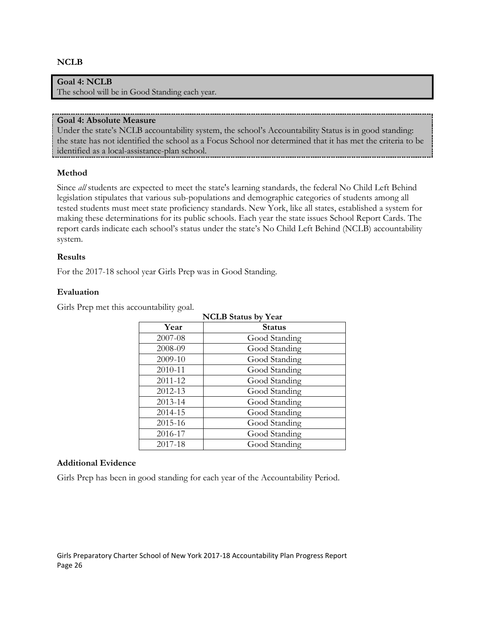#### **NCLB**

## **Goal 4: NCLB**

The school will be in Good Standing each year.

#### **Goal 4: Absolute Measure**

Under the state's NCLB accountability system, the school's Accountability Status is in good standing: the state has not identified the school as a Focus School nor determined that it has met the criteria to be identified as a local-assistance-plan school.

#### **Method**

Since *all* students are expected to meet the state's learning standards, the federal No Child Left Behind legislation stipulates that various sub-populations and demographic categories of students among all tested students must meet state proficiency standards. New York, like all states, established a system for making these determinations for its public schools. Each year the state issues School Report Cards. The report cards indicate each school's status under the state's No Child Left Behind (NCLB) accountability system.

#### **Results**

For the 2017-18 school year Girls Prep was in Good Standing.

#### **Evaluation**

Girls Prep met this accountability goal.

| <b>NCLB</b> Status by Year |               |  |  |  |
|----------------------------|---------------|--|--|--|
| Year                       | <b>Status</b> |  |  |  |
| 2007-08                    | Good Standing |  |  |  |
| 2008-09                    | Good Standing |  |  |  |
| 2009-10                    | Good Standing |  |  |  |
| 2010-11                    | Good Standing |  |  |  |
| 2011-12                    | Good Standing |  |  |  |
| 2012-13                    | Good Standing |  |  |  |
| 2013-14                    | Good Standing |  |  |  |
| 2014-15                    | Good Standing |  |  |  |
| 2015-16                    | Good Standing |  |  |  |
| 2016-17                    | Good Standing |  |  |  |
| 2017-18                    | Good Standing |  |  |  |

#### **Additional Evidence**

Girls Prep has been in good standing for each year of the Accountability Period.